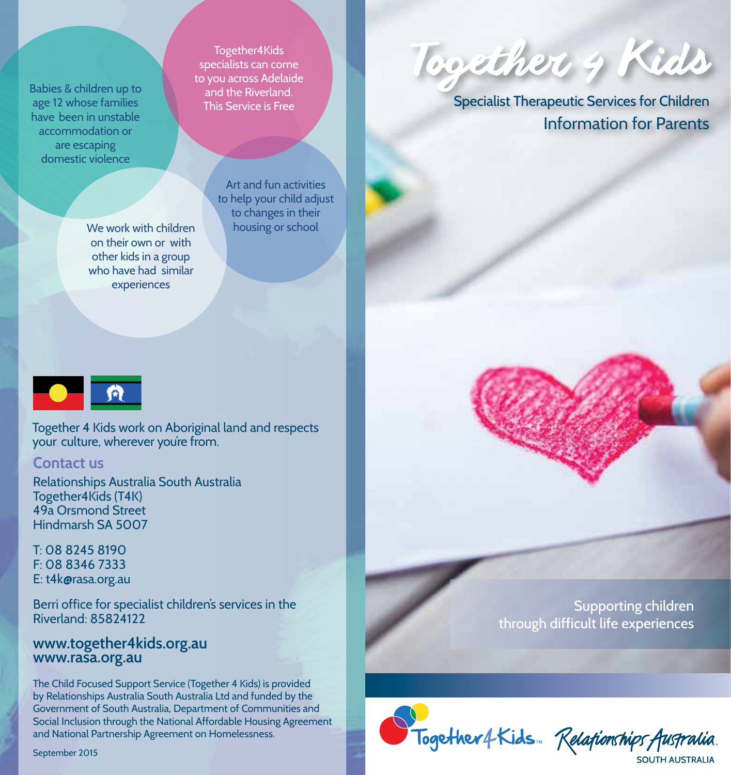Babies & children up to age 12 whose families have been in unstable accommodation or are escaping domestic violence

> We work with children housing or school on their own or with other kids in a group who have had similar experiences

Art and fun activities to help your child adjust to changes in their

Together4Kids specialists can come to you across Adelaide and the Riverland. This Service is Free

OR

Together 4 Kids work on Aboriginal land and respects your culture, wherever you're from.

## **Contact us**

Relationships Australia South Australia Together4Kids (T4K) 49a Orsmond Street Hindmarsh SA 5007

T: 08 8245 8190 F: 08 8346 7333 E: t4k@rasa.org.au

Berri office for specialist children's services in the Riverland: 85824122

## **www.together4kids.org.au www.rasa.org.au**

The Child Focused Support Service (Together 4 Kids) is provided by Relationships Australia South Australia Ltd and funded by the Government of South Australia, Department of Communities and Social Inclusion through the National Affordable Housing Agreement and National Partnership Agreement on Homelessness.

September 2015

Together 4 Kids

Specialist Therapeutic Services for Children Information for Parents

> Supporting children through difficult life experiences



Together4Kids Relationships Australia